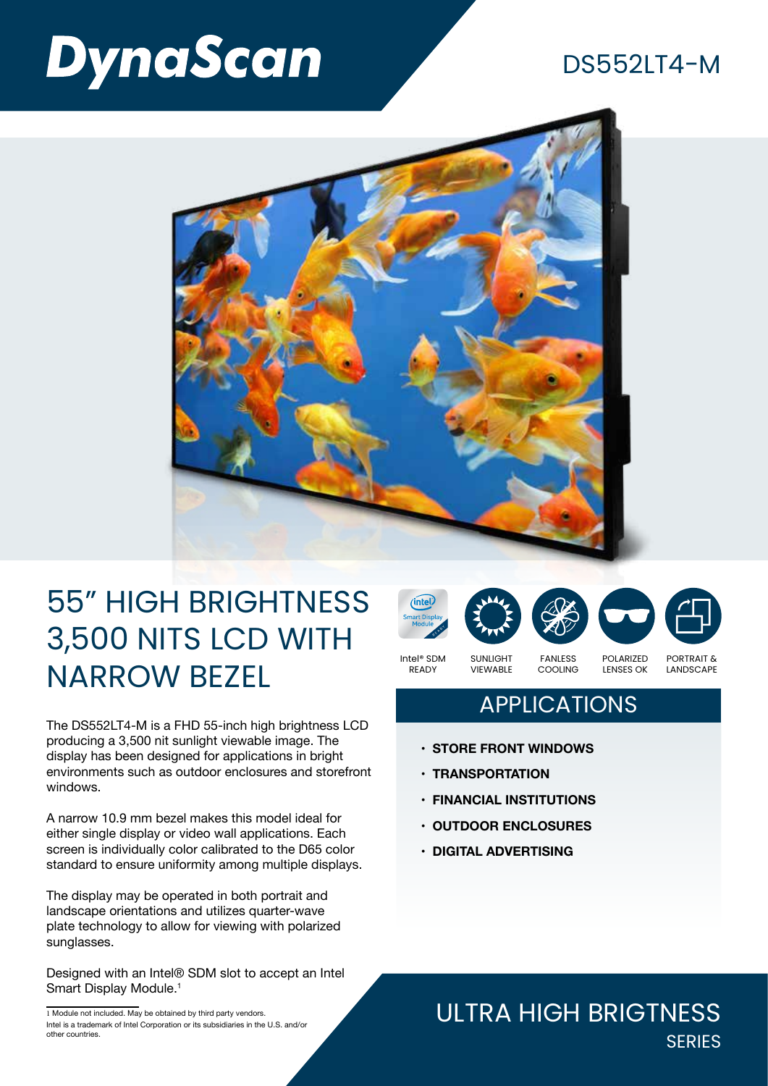# **DynaScan**

### DS552LT4-M



# 55" HIGH BRIGHTNESS 3,500 NITS LCD WITH NARROW BEZEL

The DS552LT4-M is a FHD 55-inch high brightness LCD producing a 3,500 nit sunlight viewable image. The display has been designed for applications in bright environments such as outdoor enclosures and storefront windows.

A narrow 10.9 mm bezel makes this model ideal for either single display or video wall applications. Each screen is individually color calibrated to the D65 color standard to ensure uniformity among multiple displays.

The display may be operated in both portrait and landscape orientations and utilizes quarter-wave plate technology to allow for viewing with polarized sunglasses.

Designed with an Intel® SDM slot to accept an Intel Smart Display Module.<sup>1</sup>

Intel® SDM







READY

VIEWABLE

FANLESS COOLING POLARIZED LENSES OK PORTRAIT & LANDSCAPE

### **APPLICATIONS**

- **• STORE FRONT WINDOWS**
- **• TRANSPORTATION**
- **• FINANCIAL INSTITUTIONS**
- **• OUTDOOR ENCLOSURES**
- **• DIGITAL ADVERTISING**

#### ULTRA HIGH BRIGTNESS **SERIES**

<sup>1</sup> Module not included. May be obtained by third party vendors. Intel is a trademark of Intel Corporation or its subsidiaries in the U.S. and/or other countries.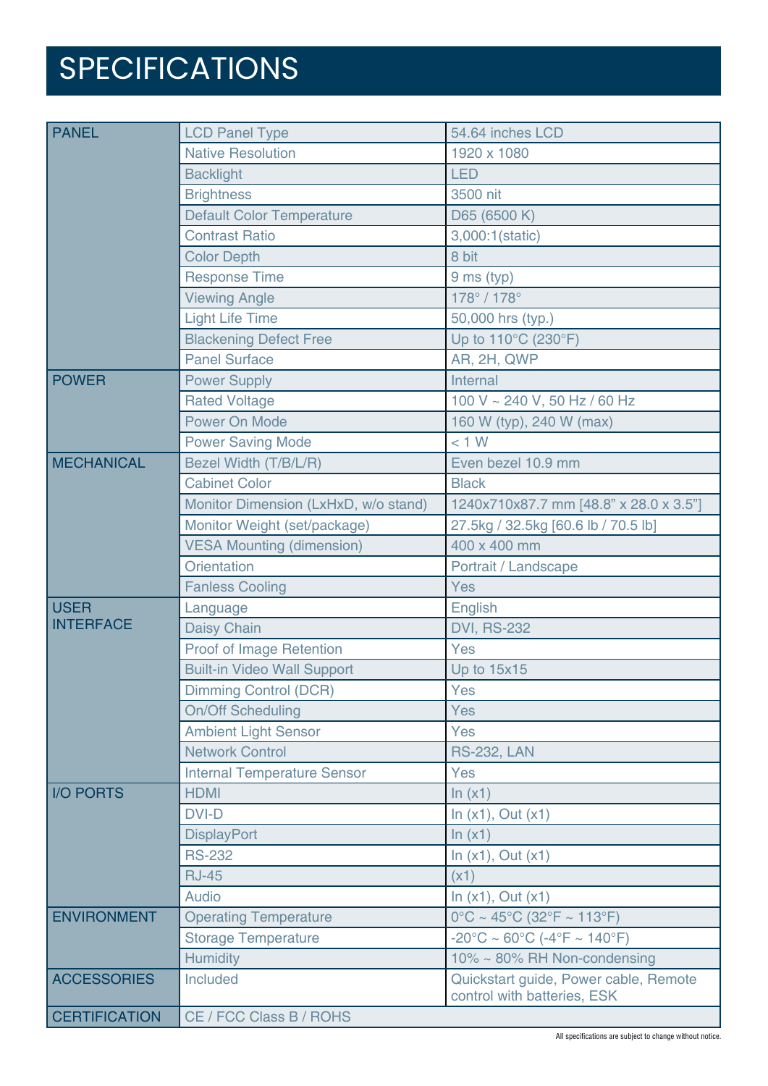# SPECIFICATIONS

| <b>PANEL</b>                    | <b>LCD Panel Type</b>                | 54.64 inches LCD                                                       |
|---------------------------------|--------------------------------------|------------------------------------------------------------------------|
|                                 | <b>Native Resolution</b>             | 1920 x 1080                                                            |
|                                 | <b>Backlight</b>                     | <b>LED</b>                                                             |
|                                 | <b>Brightness</b>                    | 3500 nit                                                               |
|                                 | <b>Default Color Temperature</b>     | D65 (6500 K)                                                           |
|                                 | <b>Contrast Ratio</b>                | 3,000:1(static)                                                        |
|                                 | <b>Color Depth</b>                   | 8 bit                                                                  |
|                                 | <b>Response Time</b>                 | 9 ms (typ)                                                             |
|                                 | <b>Viewing Angle</b>                 | 178° / 178°                                                            |
|                                 | <b>Light Life Time</b>               | 50,000 hrs (typ.)                                                      |
|                                 | <b>Blackening Defect Free</b>        | Up to 110°C (230°F)                                                    |
|                                 | <b>Panel Surface</b>                 | AR, 2H, QWP                                                            |
| <b>POWER</b>                    | <b>Power Supply</b>                  | Internal                                                               |
|                                 | <b>Rated Voltage</b>                 | 100 V ~ 240 V, 50 Hz / 60 Hz                                           |
|                                 | Power On Mode                        | 160 W (typ), 240 W (max)                                               |
|                                 | <b>Power Saving Mode</b>             | < 1 W                                                                  |
| <b>MECHANICAL</b>               | Bezel Width (T/B/L/R)                | Even bezel 10.9 mm                                                     |
|                                 | <b>Cabinet Color</b>                 | <b>Black</b>                                                           |
|                                 | Monitor Dimension (LxHxD, w/o stand) | 1240x710x87.7 mm [48.8" x 28.0 x 3.5"]                                 |
|                                 | Monitor Weight (set/package)         | 27.5kg / 32.5kg [60.6 lb / 70.5 lb]                                    |
|                                 | <b>VESA Mounting (dimension)</b>     | 400 x 400 mm                                                           |
|                                 | <b>Orientation</b>                   | Portrait / Landscape                                                   |
|                                 | <b>Fanless Cooling</b>               | Yes                                                                    |
| <b>USER</b><br><b>INTERFACE</b> | Language                             | English                                                                |
|                                 | Daisy Chain                          | <b>DVI, RS-232</b>                                                     |
|                                 | Proof of Image Retention             | Yes                                                                    |
|                                 | <b>Built-in Video Wall Support</b>   | <b>Up to 15x15</b>                                                     |
|                                 | <b>Dimming Control (DCR)</b>         | Yes                                                                    |
|                                 | <b>On/Off Scheduling</b>             | Yes                                                                    |
|                                 | <b>Ambient Light Sensor</b>          | Yes                                                                    |
|                                 | <b>Network Control</b>               | <b>RS-232, LAN</b>                                                     |
|                                 | <b>Internal Temperature Sensor</b>   | Yes                                                                    |
| <b>I/O PORTS</b>                | <b>HDMI</b>                          | ln(x1)                                                                 |
|                                 | <b>DVI-D</b>                         | In $(x1)$ , Out $(x1)$                                                 |
|                                 | <b>DisplayPort</b>                   | ln(x1)                                                                 |
|                                 | <b>RS-232</b>                        | In $(x1)$ , Out $(x1)$                                                 |
|                                 | <b>RJ-45</b>                         | (x1)                                                                   |
|                                 | Audio                                | In $(x1)$ , Out $(x1)$                                                 |
| <b>ENVIRONMENT</b>              | <b>Operating Temperature</b>         | $0^{\circ}$ C ~ 45°C (32°F ~ 113°F)                                    |
|                                 | <b>Storage Temperature</b>           | $-20^{\circ}$ C ~ 60 $^{\circ}$ C (-4 $^{\circ}$ F ~ 140 $^{\circ}$ F) |
|                                 | <b>Humidity</b>                      | 10% ~ 80% RH Non-condensing                                            |
| <b>ACCESSORIES</b>              |                                      |                                                                        |
|                                 | Included                             | Quickstart guide, Power cable, Remote                                  |
| <b>CERTIFICATION</b>            | CE / FCC Class B / ROHS              | control with batteries, ESK                                            |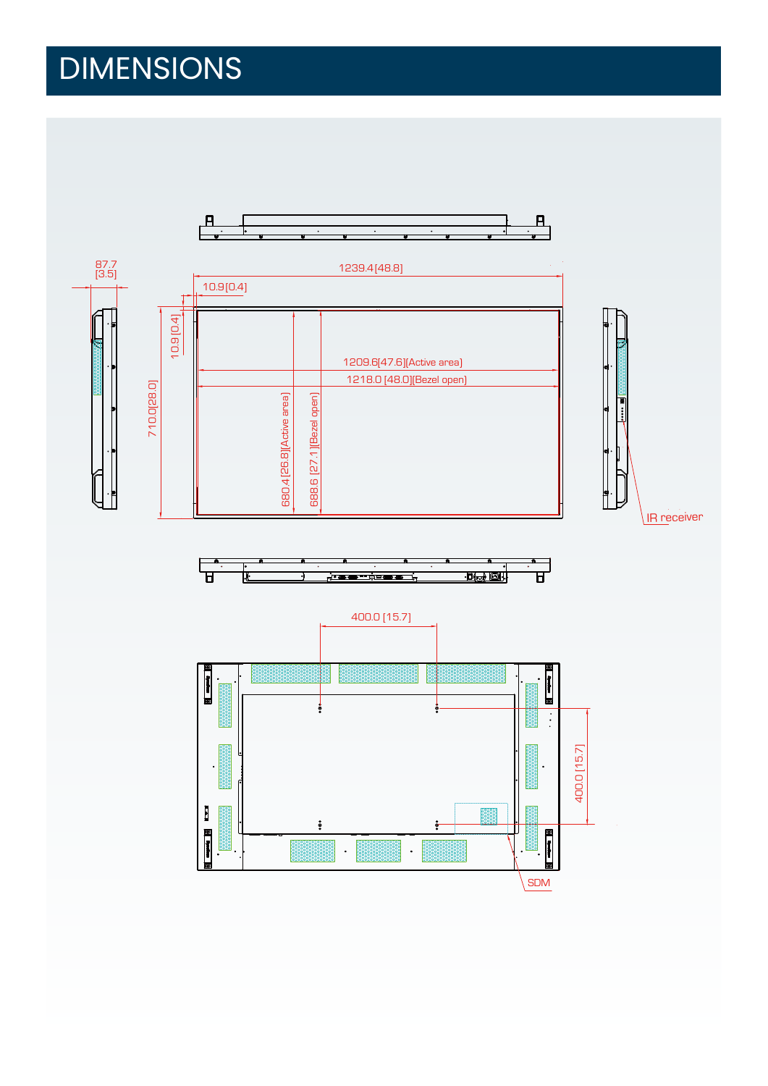# DIMENSIONS